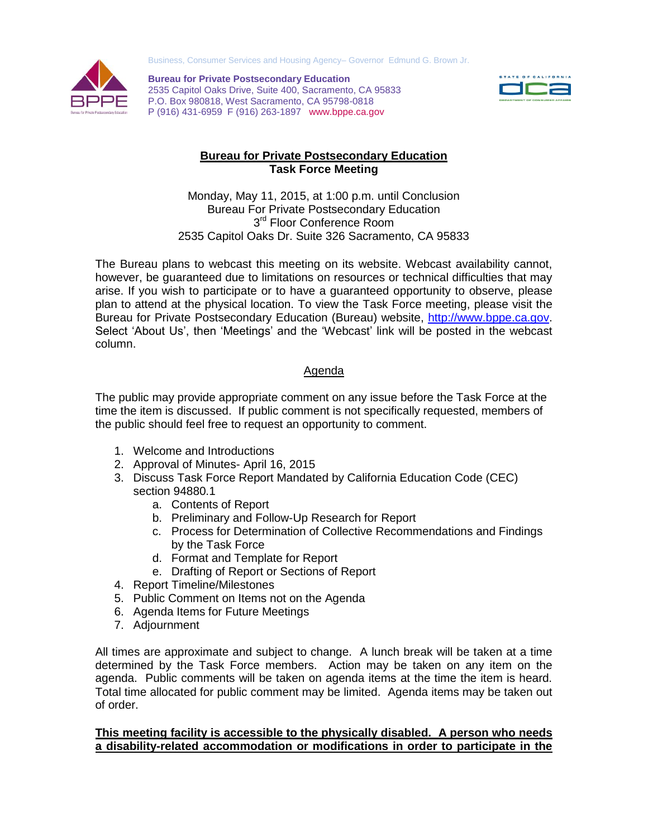Business, Consumer Services and Housing Agency– Governor Edmund G. Brown Jr.



**Bureau for Private Postsecondary Education** 2535 Capitol Oaks Drive, Suite 400, Sacramento, CA 95833 P.O. Box 980818, West Sacramento, CA 95798-0818 P (916) 431-6959 F (916) 263-1897 www.bppe.ca.gov



## **Bureau for Private Postsecondary Education Task Force Meeting**

Monday, May 11, 2015, at 1:00 p.m. until Conclusion Bureau For Private Postsecondary Education 3<sup>rd</sup> Floor Conference Room 2535 Capitol Oaks Dr. Suite 326 Sacramento, CA 95833

The Bureau plans to webcast this meeting on its website. Webcast availability cannot, however, be guaranteed due to limitations on resources or technical difficulties that may arise. If you wish to participate or to have a guaranteed opportunity to observe, please plan to attend at the physical location. To view the Task Force meeting, please visit the Bureau for Private Postsecondary Education (Bureau) website, [http://www.bppe.ca.gov.](http://www.bppe.ca.gov/) Select 'About Us', then 'Meetings' and the 'Webcast' link will be posted in the webcast column.

## Agenda

The public may provide appropriate comment on any issue before the Task Force at the time the item is discussed. If public comment is not specifically requested, members of the public should feel free to request an opportunity to comment.

- 1. Welcome and Introductions
- 2. Approval of Minutes- April 16, 2015
- 3. Discuss Task Force Report Mandated by California Education Code (CEC) section 94880.1
	- a. Contents of Report
	- b. Preliminary and Follow-Up Research for Report
	- c. Process for Determination of Collective Recommendations and Findings by the Task Force
	- d. Format and Template for Report
	- e. Drafting of Report or Sections of Report
- 4. Report Timeline/Milestones
- 5. Public Comment on Items not on the Agenda
- 6. Agenda Items for Future Meetings
- 7. Adjournment

All times are approximate and subject to change. A lunch break will be taken at a time determined by the Task Force members. Action may be taken on any item on the agenda. Public comments will be taken on agenda items at the time the item is heard. Total time allocated for public comment may be limited. Agenda items may be taken out of order.

## **This meeting facility is accessible to the physically disabled. A person who needs a disability-related accommodation or modifications in order to participate in the**